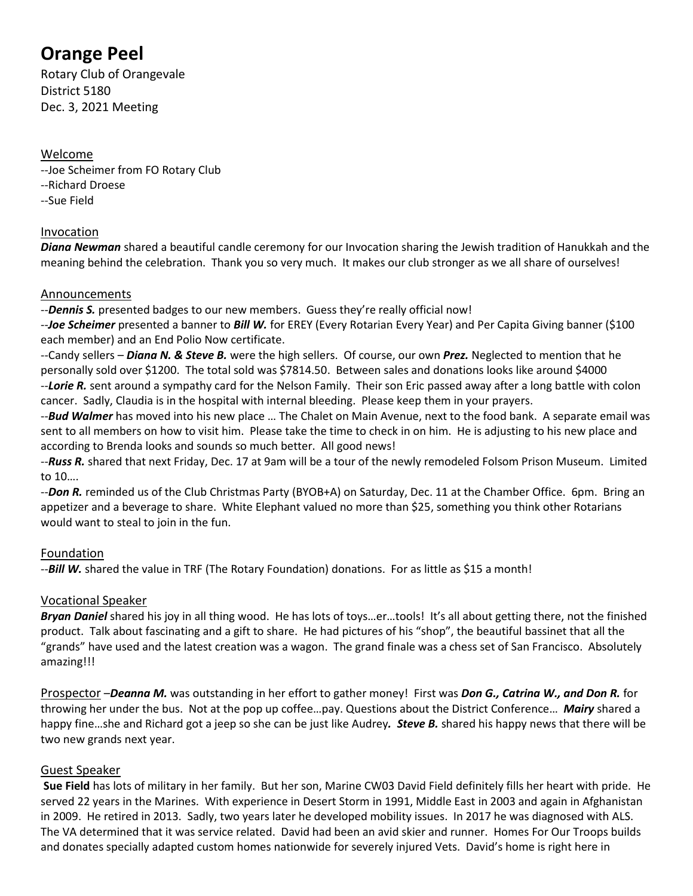# **Orange Peel**

Rotary Club of Orangevale District 5180 Dec. 3, 2021 Meeting

### Welcome

--Joe Scheimer from FO Rotary Club

- --Richard Droese
- --Sue Field

## Invocation

*Diana Newman* shared a beautiful candle ceremony for our Invocation sharing the Jewish tradition of Hanukkah and the meaning behind the celebration. Thank you so very much. It makes our club stronger as we all share of ourselves!

#### Announcements

--*Dennis S.* presented badges to our new members. Guess they're really official now!

--*Joe Scheimer* presented a banner to *Bill W.* for EREY (Every Rotarian Every Year) and Per Capita Giving banner (\$100 each member) and an End Polio Now certificate.

--Candy sellers – *Diana N. & Steve B.* were the high sellers. Of course, our own *Prez.* Neglected to mention that he personally sold over \$1200. The total sold was \$7814.50. Between sales and donations looks like around \$4000 --*Lorie R.* sent around a sympathy card for the Nelson Family. Their son Eric passed away after a long battle with colon cancer. Sadly, Claudia is in the hospital with internal bleeding. Please keep them in your prayers.

--*Bud Walmer* has moved into his new place … The Chalet on Main Avenue, next to the food bank. A separate email was sent to all members on how to visit him. Please take the time to check in on him. He is adjusting to his new place and according to Brenda looks and sounds so much better. All good news!

--*Russ R.* shared that next Friday, Dec. 17 at 9am will be a tour of the newly remodeled Folsom Prison Museum. Limited to 10….

--*Don R.* reminded us of the Club Christmas Party (BYOB+A) on Saturday, Dec. 11 at the Chamber Office. 6pm. Bring an appetizer and a beverage to share. White Elephant valued no more than \$25, something you think other Rotarians would want to steal to join in the fun.

## Foundation

--*Bill W.* shared the value in TRF (The Rotary Foundation) donations. For as little as \$15 a month!

## Vocational Speaker

*Bryan Daniel* shared his joy in all thing wood. He has lots of toys…er…tools! It's all about getting there, not the finished product. Talk about fascinating and a gift to share. He had pictures of his "shop", the beautiful bassinet that all the "grands" have used and the latest creation was a wagon. The grand finale was a chess set of San Francisco. Absolutely amazing!!!

Prospector –*Deanna M.* was outstanding in her effort to gather money! First was *Don G., Catrina W., and Don R.* for throwing her under the bus. Not at the pop up coffee…pay. Questions about the District Conference… *Mairy* shared a happy fine…she and Richard got a jeep so she can be just like Audrey*. Steve B.* shared his happy news that there will be two new grands next year.

#### Guest Speaker

**Sue Field** has lots of military in her family. But her son, Marine CW03 David Field definitely fills her heart with pride. He served 22 years in the Marines. With experience in Desert Storm in 1991, Middle East in 2003 and again in Afghanistan in 2009. He retired in 2013. Sadly, two years later he developed mobility issues. In 2017 he was diagnosed with ALS. The VA determined that it was service related. David had been an avid skier and runner. Homes For Our Troops builds and donates specially adapted custom homes nationwide for severely injured Vets. David's home is right here in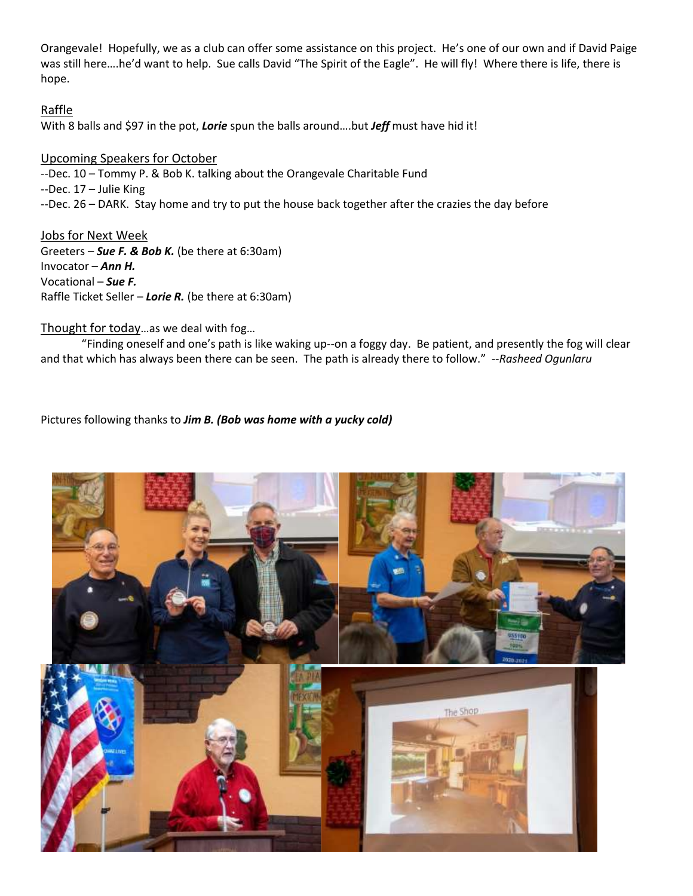Orangevale! Hopefully, we as a club can offer some assistance on this project. He's one of our own and if David Paige was still here….he'd want to help. Sue calls David "The Spirit of the Eagle". He will fly! Where there is life, there is hope.

#### Raffle

With 8 balls and \$97 in the pot, *Lorie* spun the balls around….but *Jeff* must have hid it!

Upcoming Speakers for October --Dec. 10 – Tommy P. & Bob K. talking about the Orangevale Charitable Fund --Dec. 17 – Julie King --Dec. 26 – DARK. Stay home and try to put the house back together after the crazies the day before

Jobs for Next Week Greeters – *Sue F. & Bob K.* (be there at 6:30am) Invocator – *Ann H.* Vocational – *Sue F.* Raffle Ticket Seller – *Lorie R.* (be there at 6:30am)

Thought for today...as we deal with fog...

"Finding oneself and one's path is like waking up--on a foggy day. Be patient, and presently the fog will clear and that which has always been there can be seen. The path is already there to follow." *--Rasheed Ogunlaru*

Pictures following thanks to *Jim B. (Bob was home with a yucky cold)*